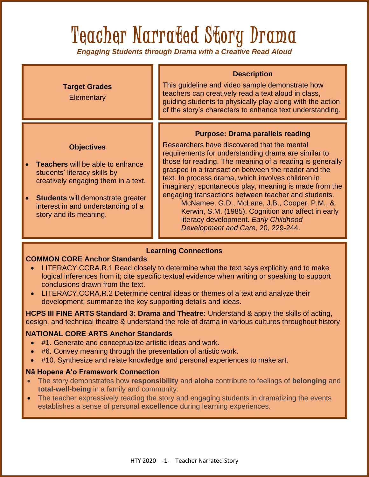# Teacher Narrated Story Drama

*Engaging Students through Drama with a Creative Read Aloud*



#### **Learning Connections**

#### **COMMON CORE Anchor Standards**

- LITERACY.CCRA.R.1 Read closely to determine what the text says explicitly and to make logical inferences from it; cite specific textual evidence when writing or speaking to support conclusions drawn from the text.
- LITERACY.CCRA.R.2 Determine central ideas or themes of a text and analyze their development; summarize the key supporting details and ideas.

**HCPS III FINE ARTS Standard 3: Drama and Theatre:** Understand & apply the skills of acting, design, and technical theatre & understand the role of drama in various cultures throughout history

#### **NATIONAL CORE ARTS Anchor Standards**

- #1. Generate and conceptualize artistic ideas and work.
- #6. Convey meaning through the presentation of artistic work.
- #10. Synthesize and relate knowledge and personal experiences to make art.

#### **Nā Hopena A'o Framework Connection**

- The story demonstrates how **responsibility** and **aloha** contribute to feelings of **belonging** and **total-well-being** in a family and community.
- The teacher expressively reading the story and engaging students in dramatizing the events establishes a sense of personal **excellence** during learning experiences.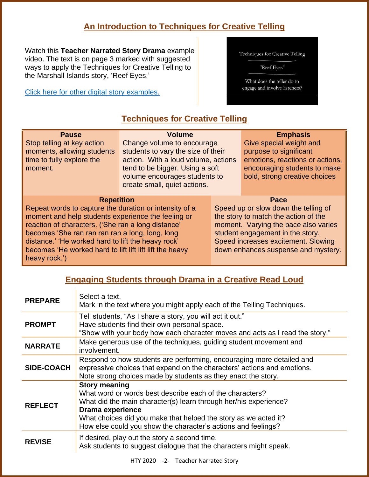## **An Introduction to Techniques for Creative Telling**

Watch this **Teacher Narrated Story Drama** example video. The text is on page 3 marked with suggested ways to apply the Techniques for Creative Telling to the Marshall Islands story, 'Reef Eyes.'

[Click here for other digital story examples.](https://www.htyweb.org/digital-resources-for-teachers/teacher-narrated-story-drama/)

| Techniques for Creative Telling |  |  |  |
|---------------------------------|--|--|--|
|---------------------------------|--|--|--|

"Reef Eyes"

What does the teller do to engage and involve listeners?

# **Techniques for Creative Telling**

| <b>Pause</b><br>Stop telling at key action<br>moments, allowing students<br>time to fully explore the<br>moment.                                                                                                                                                                                                                                                              | <b>Volume</b><br>Change volume to encourage<br>students to vary the size of their<br>action. With a loud volume, actions<br>tend to be bigger. Using a soft<br>volume encourages students to<br>create small, quiet actions. |                                                                                                                                                                                                                                                | <b>Emphasis</b><br>Give special weight and<br>purpose to significant<br>emotions, reactions or actions,<br>encouraging students to make<br>bold, strong creative choices |  |
|-------------------------------------------------------------------------------------------------------------------------------------------------------------------------------------------------------------------------------------------------------------------------------------------------------------------------------------------------------------------------------|------------------------------------------------------------------------------------------------------------------------------------------------------------------------------------------------------------------------------|------------------------------------------------------------------------------------------------------------------------------------------------------------------------------------------------------------------------------------------------|--------------------------------------------------------------------------------------------------------------------------------------------------------------------------|--|
| <b>Repetition</b><br>Repeat words to capture the duration or intensity of a<br>moment and help students experience the feeling or<br>reaction of characters. ('She ran a long distance'<br>becomes 'She ran ran ran ran a long, long, long<br>distance.' 'He worked hard to lift the heavy rock'<br>becomes 'He worked hard to lift lift lift lift the heavy<br>heavy rock.') |                                                                                                                                                                                                                              | Pace<br>Speed up or slow down the telling of<br>the story to match the action of the<br>moment. Varying the pace also varies<br>student engagement in the story.<br>Speed increases excitement. Slowing<br>down enhances suspense and mystery. |                                                                                                                                                                          |  |

## **Engaging Students through Drama in a Creative Read Loud**

| <b>PREPARE</b> | Select a text.<br>Mark in the text where you might apply each of the Telling Techniques.                                                                                                                                                                                                                            |
|----------------|---------------------------------------------------------------------------------------------------------------------------------------------------------------------------------------------------------------------------------------------------------------------------------------------------------------------|
| <b>PROMPT</b>  | Tell students, "As I share a story, you will act it out."<br>Have students find their own personal space.<br>"Show with your body how each character moves and acts as I read the story."                                                                                                                           |
| <b>NARRATE</b> | Make generous use of the techniques, guiding student movement and<br>involvement.                                                                                                                                                                                                                                   |
| SIDE-COACH     | Respond to how students are performing, encouraging more detailed and<br>expressive choices that expand on the characters' actions and emotions.<br>Note strong choices made by students as they enact the story.                                                                                                   |
| <b>REFLECT</b> | <b>Story meaning</b><br>What word or words best describe each of the characters?<br>What did the main character(s) learn through her/his experience?<br><b>Drama experience</b><br>What choices did you make that helped the story as we acted it?<br>How else could you show the character's actions and feelings? |
| <b>REVISE</b>  | If desired, play out the story a second time.<br>Ask students to suggest dialogue that the characters might speak.                                                                                                                                                                                                  |